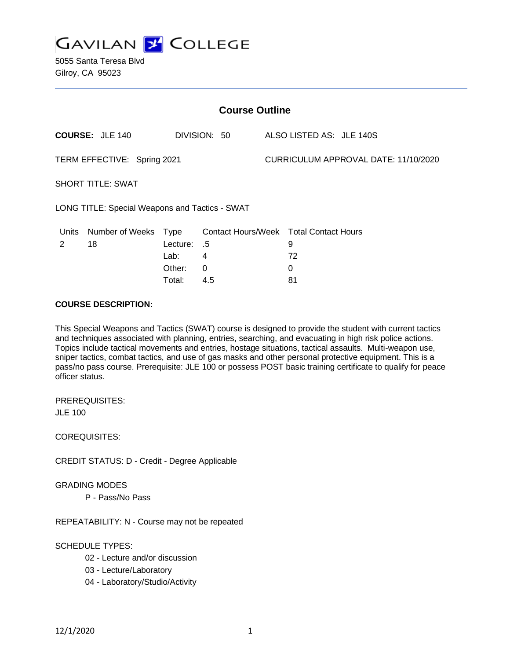

5055 Santa Teresa Blvd Gilroy, CA 95023

| <b>Course Outline</b>                          |                              |                                                     |                                                                      |  |                                      |  |  |
|------------------------------------------------|------------------------------|-----------------------------------------------------|----------------------------------------------------------------------|--|--------------------------------------|--|--|
|                                                | <b>COURSE: JLE 140</b>       |                                                     | DIVISION: 50                                                         |  | ALSO LISTED AS: JLE 140S             |  |  |
| TERM EFFECTIVE: Spring 2021                    |                              |                                                     |                                                                      |  | CURRICULUM APPROVAL DATE: 11/10/2020 |  |  |
| <b>SHORT TITLE: SWAT</b>                       |                              |                                                     |                                                                      |  |                                      |  |  |
| LONG TITLE: Special Weapons and Tactics - SWAT |                              |                                                     |                                                                      |  |                                      |  |  |
| Units<br>2                                     | <b>Number of Weeks</b><br>18 | <b>Type</b><br>Lecture:<br>Lab:<br>Other:<br>Total: | Contact Hours/Week Total Contact Hours<br>.5<br>4<br>$\Omega$<br>4.5 |  | 9<br>72<br>0<br>81                   |  |  |

#### **COURSE DESCRIPTION:**

This Special Weapons and Tactics (SWAT) course is designed to provide the student with current tactics and techniques associated with planning, entries, searching, and evacuating in high risk police actions. Topics include tactical movements and entries, hostage situations, tactical assaults. Multi-weapon use, sniper tactics, combat tactics, and use of gas masks and other personal protective equipment. This is a pass/no pass course. Prerequisite: JLE 100 or possess POST basic training certificate to qualify for peace officer status.

PREREQUISITES: JLE 100

COREQUISITES:

CREDIT STATUS: D - Credit - Degree Applicable

#### GRADING MODES

P - Pass/No Pass

REPEATABILITY: N - Course may not be repeated

### SCHEDULE TYPES:

- 02 Lecture and/or discussion
- 03 Lecture/Laboratory
- 04 Laboratory/Studio/Activity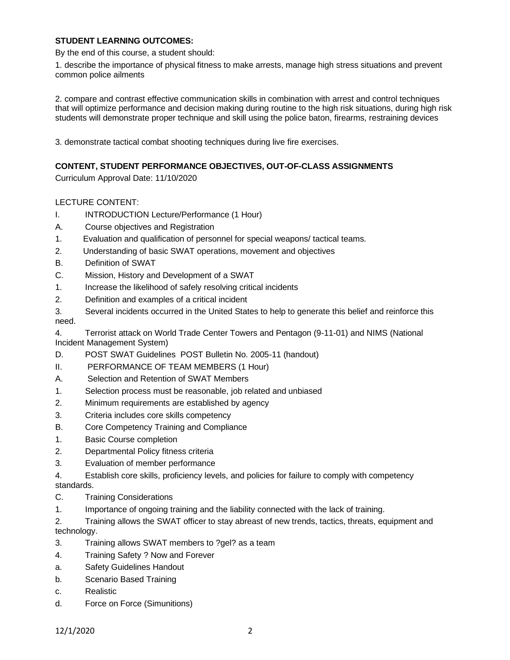### **STUDENT LEARNING OUTCOMES:**

By the end of this course, a student should:

1. describe the importance of physical fitness to make arrests, manage high stress situations and prevent common police ailments

2. compare and contrast effective communication skills in combination with arrest and control techniques that will optimize performance and decision making during routine to the high risk situations, during high risk students will demonstrate proper technique and skill using the police baton, firearms, restraining devices

3. demonstrate tactical combat shooting techniques during live fire exercises.

### **CONTENT, STUDENT PERFORMANCE OBJECTIVES, OUT-OF-CLASS ASSIGNMENTS**

Curriculum Approval Date: 11/10/2020

### LECTURE CONTENT:

- I. INTRODUCTION Lecture/Performance (1 Hour)
- A. Course objectives and Registration
- 1. Evaluation and qualification of personnel for special weapons/ tactical teams.
- 2. Understanding of basic SWAT operations, movement and objectives
- B. Definition of SWAT
- C. Mission, History and Development of a SWAT
- 1. Increase the likelihood of safely resolving critical incidents
- 2. Definition and examples of a critical incident
- 3. Several incidents occurred in the United States to help to generate this belief and reinforce this need.
- 4. Terrorist attack on World Trade Center Towers and Pentagon (9-11-01) and NIMS (National Incident Management System)
- D. POST SWAT Guidelines POST Bulletin No. 2005-11 (handout)
- II. PERFORMANCE OF TEAM MEMBERS (1 Hour)
- A. Selection and Retention of SWAT Members
- 1. Selection process must be reasonable, job related and unbiased
- 2. Minimum requirements are established by agency
- 3. Criteria includes core skills competency
- B. Core Competency Training and Compliance
- 1. Basic Course completion
- 2. Departmental Policy fitness criteria
- 3. Evaluation of member performance
- 4. Establish core skills, proficiency levels, and policies for failure to comply with competency standards.
- C. Training Considerations
- 1. Importance of ongoing training and the liability connected with the lack of training.

2. Training allows the SWAT officer to stay abreast of new trends, tactics, threats, equipment and technology.

- 3. Training allows SWAT members to ?gel? as a team
- 4. Training Safety ? Now and Forever
- a. Safety Guidelines Handout
- b. Scenario Based Training
- c. Realistic
- d. Force on Force (Simunitions)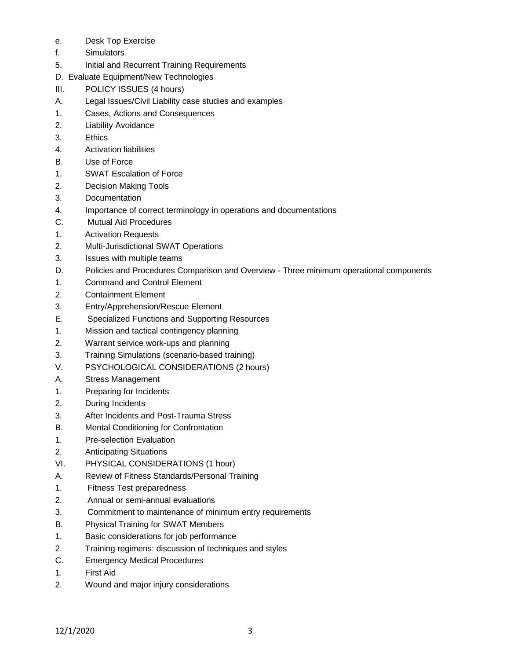- e. Desk Top Exercise
- f. Simulators
- 5. Initial and Recurrent Training Requirements
- D. Evaluate Equipment/New Technologies
- III. POLICY ISSUES (4 hours)
- A. Legal Issues/Civil Liability case studies and examples
- 1. Cases, Actions and Consequences
- 2. Liability Avoidance
- 3. Ethics
- 4. Activation liabilities
- B. Use of Force
- 1. SWAT Escalation of Force
- 2. Decision Making Tools
- 3. Documentation
- 4. Importance of correct terminology in operations and documentations
- C. Mutual Aid Procedures
- 1. Activation Requests
- 2. Multi-Jurisdictional SWAT Operations
- 3. Issues with multiple teams
- D. Policies and Procedures Comparison and Overview Three minimum operational components
- 1. Command and Control Element
- 2. Containment Element
- 3. Entry/Apprehension/Rescue Element
- E. Specialized Functions and Supporting Resources
- 1. Mission and tactical contingency planning
- 2. Warrant service work-ups and planning
- 3. Training Simulations (scenario-based training)
- V. PSYCHOLOGICAL CONSIDERATIONS (2 hours)
- A. Stress Management
- 1. Preparing for Incidents
- 2. During Incidents
- 3. After Incidents and Post-Trauma Stress
- B. Mental Conditioning for Confrontation
- 1. Pre-selection Evaluation
- 2. Anticipating Situations
- VI. PHYSICAL CONSIDERATIONS (1 hour)
- A. Review of Fitness Standards/Personal Training
- 1. Fitness Test preparedness
- 2. Annual or semi-annual evaluations
- 3. Commitment to maintenance of minimum entry requirements
- B. Physical Training for SWAT Members
- 1. Basic considerations for job performance
- 2. Training regimens: discussion of techniques and styles
- C. Emergency Medical Procedures
- 1. First Aid
- 2. Wound and major injury considerations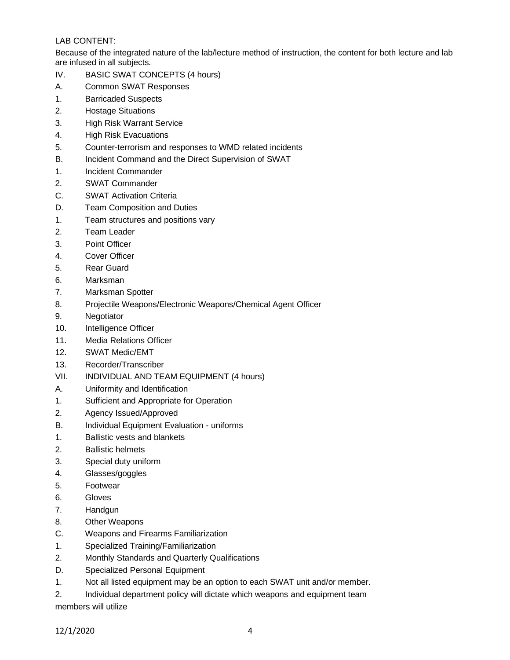# LAB CONTENT:

Because of the integrated nature of the lab/lecture method of instruction, the content for both lecture and lab are infused in all subjects.

- IV. BASIC SWAT CONCEPTS (4 hours)
- A. Common SWAT Responses
- 1. Barricaded Suspects
- 2. Hostage Situations
- 3. High Risk Warrant Service
- 4. High Risk Evacuations
- 5. Counter-terrorism and responses to WMD related incidents
- B. Incident Command and the Direct Supervision of SWAT
- 1. Incident Commander
- 2. SWAT Commander
- C. SWAT Activation Criteria
- D. Team Composition and Duties
- 1. Team structures and positions vary
- 2. Team Leader
- 3. Point Officer
- 4. Cover Officer
- 5. Rear Guard
- 6. Marksman
- 7. Marksman Spotter
- 8. Projectile Weapons/Electronic Weapons/Chemical Agent Officer
- 9. Negotiator
- 10. Intelligence Officer
- 11. Media Relations Officer
- 12. SWAT Medic/EMT
- 13. Recorder/Transcriber
- VII. INDIVIDUAL AND TEAM EQUIPMENT (4 hours)
- A. Uniformity and Identification
- 1. Sufficient and Appropriate for Operation
- 2. Agency Issued/Approved
- B. Individual Equipment Evaluation uniforms
- 1. Ballistic vests and blankets
- 2. Ballistic helmets
- 3. Special duty uniform
- 4. Glasses/goggles
- 5. Footwear
- 6. Gloves
- 7. Handgun
- 8. Other Weapons
- C. Weapons and Firearms Familiarization
- 1. Specialized Training/Familiarization
- 2. Monthly Standards and Quarterly Qualifications
- D. Specialized Personal Equipment
- 1. Not all listed equipment may be an option to each SWAT unit and/or member.
- 2. Individual department policy will dictate which weapons and equipment team

members will utilize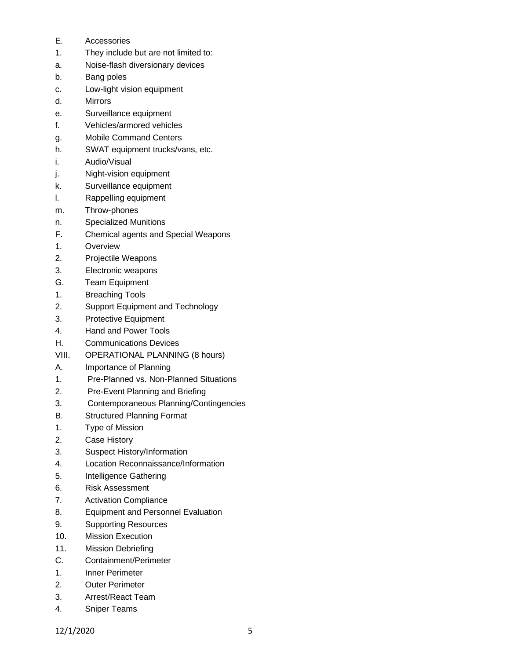- E. Accessories
- 1. They include but are not limited to:
- a. Noise-flash diversionary devices
- b. Bang poles
- c. Low-light vision equipment
- d. Mirrors
- e. Surveillance equipment
- f. Vehicles/armored vehicles
- g. Mobile Command Centers
- h. SWAT equipment trucks/vans, etc.
- i. Audio/Visual
- j. Night-vision equipment
- k. Surveillance equipment
- l. Rappelling equipment
- m. Throw-phones
- n. Specialized Munitions
- F. Chemical agents and Special Weapons
- 1. Overview
- 2. Projectile Weapons
- 3. Electronic weapons
- G. Team Equipment
- 1. Breaching Tools
- 2. Support Equipment and Technology
- 3. Protective Equipment
- 4. Hand and Power Tools
- H. Communications Devices
- VIII. OPERATIONAL PLANNING (8 hours)
- A. Importance of Planning
- 1. Pre-Planned vs. Non-Planned Situations
- 2. Pre-Event Planning and Briefing
- 3. Contemporaneous Planning/Contingencies
- B. Structured Planning Format
- 1. Type of Mission
- 2. Case History
- 3. Suspect History/Information
- 4. Location Reconnaissance/Information
- 5. Intelligence Gathering
- 6. Risk Assessment
- 7. Activation Compliance
- 8. Equipment and Personnel Evaluation
- 9. Supporting Resources
- 10. Mission Execution
- 11. Mission Debriefing
- C. Containment/Perimeter
- 1. Inner Perimeter
- 2. Outer Perimeter
- 3. Arrest/React Team
- 4. Sniper Teams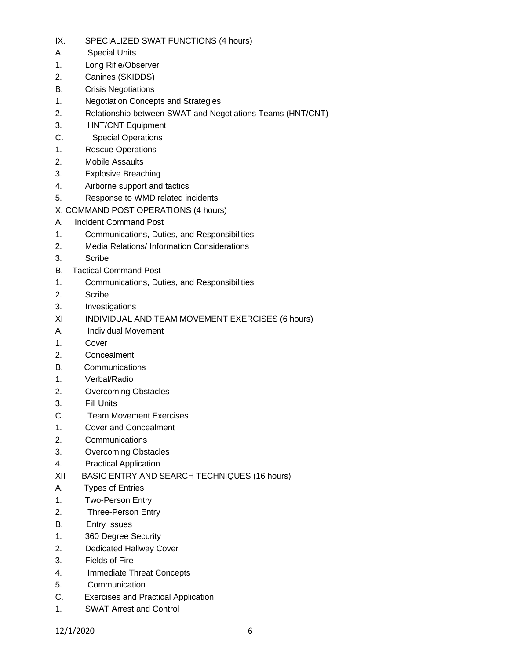- IX. SPECIALIZED SWAT FUNCTIONS (4 hours)
- A. Special Units
- 1. Long Rifle/Observer
- 2. Canines (SKIDDS)
- B. Crisis Negotiations
- 1. Negotiation Concepts and Strategies
- 2. Relationship between SWAT and Negotiations Teams (HNT/CNT)
- 3. HNT/CNT Equipment
- C. Special Operations
- 1. Rescue Operations
- 2. Mobile Assaults
- 3. Explosive Breaching
- 4. Airborne support and tactics
- 5. Response to WMD related incidents
- X. COMMAND POST OPERATIONS (4 hours)
- A. Incident Command Post
- 1. Communications, Duties, and Responsibilities
- 2. Media Relations/ Information Considerations
- 3. Scribe
- B. Tactical Command Post
- 1. Communications, Duties, and Responsibilities
- 2. Scribe
- 3. Investigations
- XI INDIVIDUAL AND TEAM MOVEMENT EXERCISES (6 hours)
- A. Individual Movement
- 1. Cover
- 2. Concealment
- B. Communications
- 1. Verbal/Radio
- 2. Overcoming Obstacles
- 3. Fill Units
- C. Team Movement Exercises
- 1. Cover and Concealment
- 2. Communications
- 3. Overcoming Obstacles
- 4. Practical Application
- XII BASIC ENTRY AND SEARCH TECHNIQUES (16 hours)
- A. Types of Entries
- 1. Two-Person Entry
- 2. Three-Person Entry
- B. Entry Issues
- 1. 360 Degree Security
- 2. Dedicated Hallway Cover
- 3. Fields of Fire
- 4. Immediate Threat Concepts
- 5. Communication
- C. Exercises and Practical Application
- 1. SWAT Arrest and Control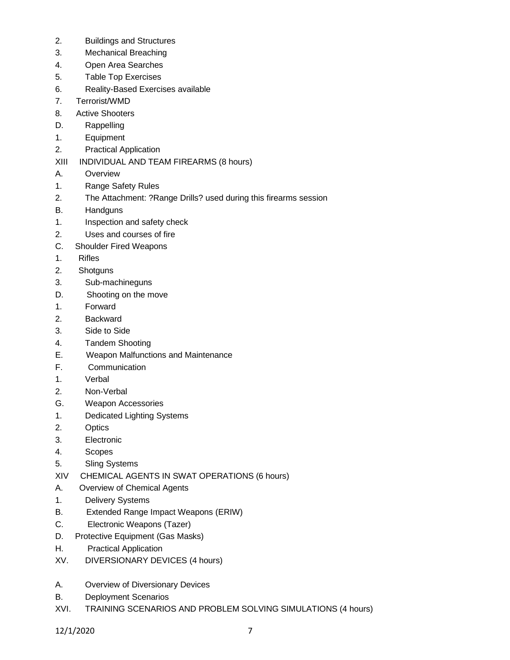- 2. Buildings and Structures
- 3. Mechanical Breaching
- 4. Open Area Searches
- 5. Table Top Exercises
- 6. Reality-Based Exercises available
- 7. Terrorist/WMD
- 8. Active Shooters
- D. Rappelling
- 1. Equipment
- 2. Practical Application
- XIII INDIVIDUAL AND TEAM FIREARMS (8 hours)
- A. Overview
- 1. Range Safety Rules
- 2. The Attachment: ?Range Drills? used during this firearms session
- B. Handguns
- 1. Inspection and safety check
- 2. Uses and courses of fire
- C. Shoulder Fired Weapons
- 1. Rifles
- 2. Shotguns
- 3. Sub-machineguns
- D. Shooting on the move
- 1. Forward
- 2. Backward
- 3. Side to Side
- 4. Tandem Shooting
- E. Weapon Malfunctions and Maintenance
- F. Communication
- 1. Verbal
- 2. Non-Verbal
- G. Weapon Accessories
- 1. Dedicated Lighting Systems
- 2. Optics
- 3. Electronic
- 4. Scopes
- 5. Sling Systems
- XIV CHEMICAL AGENTS IN SWAT OPERATIONS (6 hours)
- A. Overview of Chemical Agents
- 1. Delivery Systems
- B. Extended Range Impact Weapons (ERIW)
- C. Electronic Weapons (Tazer)
- D. Protective Equipment (Gas Masks)
- H. Practical Application
- XV. DIVERSIONARY DEVICES (4 hours)
- A. Overview of Diversionary Devices
- B. Deployment Scenarios
- XVI. TRAINING SCENARIOS AND PROBLEM SOLVING SIMULATIONS (4 hours)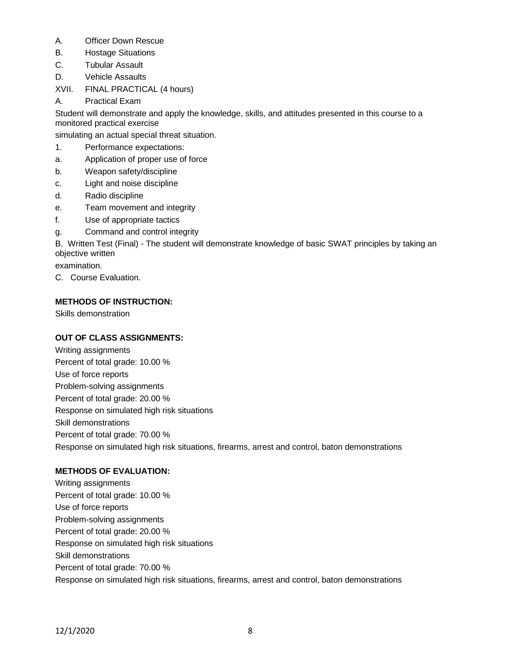- A. Officer Down Rescue
- B. Hostage Situations
- C. Tubular Assault
- D. Vehicle Assaults
- XVII. FINAL PRACTICAL (4 hours)
- A. Practical Exam

Student will demonstrate and apply the knowledge, skills, and attitudes presented in this course to a monitored practical exercise

simulating an actual special threat situation.

- 1. Performance expectations:
- a. Application of proper use of force
- b. Weapon safety/discipline
- c. Light and noise discipline
- d. Radio discipline
- e. Team movement and integrity
- f. Use of appropriate tactics
- g. Command and control integrity

B. Written Test (Final) - The student will demonstrate knowledge of basic SWAT principles by taking an objective written

examination.

C. Course Evaluation.

# **METHODS OF INSTRUCTION:**

Skills demonstration

# **OUT OF CLASS ASSIGNMENTS:**

Writing assignments Percent of total grade: 10.00 % Use of force reports Problem-solving assignments Percent of total grade: 20.00 % Response on simulated high risk situations Skill demonstrations Percent of total grade: 70.00 % Response on simulated high risk situations, firearms, arrest and control, baton demonstrations

# **METHODS OF EVALUATION:**

Writing assignments Percent of total grade: 10.00 % Use of force reports Problem-solving assignments Percent of total grade: 20.00 % Response on simulated high risk situations Skill demonstrations Percent of total grade: 70.00 % Response on simulated high risk situations, firearms, arrest and control, baton demonstrations